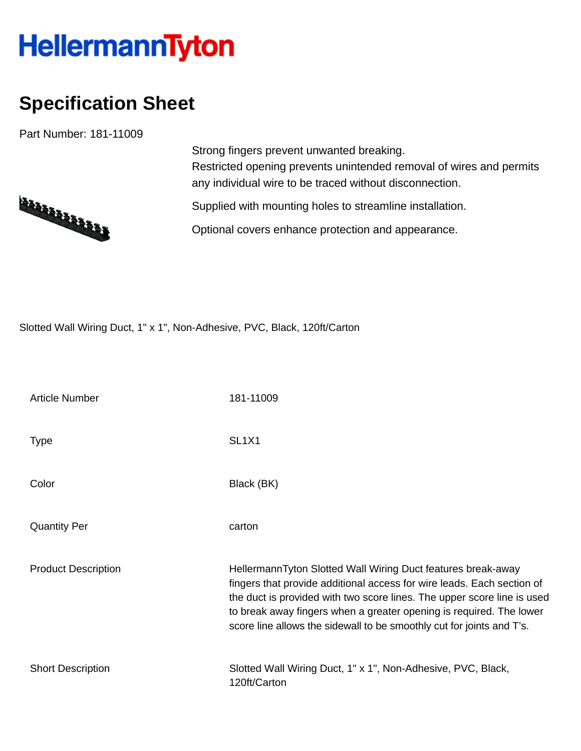## **HellermannTyton**

## **Specification Sheet**

Part Number: 181-11009



Strong fingers prevent unwanted breaking. Restricted opening prevents unintended removal of wires and permits any individual wire to be traced without disconnection.

Supplied with mounting holes to streamline installation.

Optional covers enhance protection and appearance.

Slotted Wall Wiring Duct, 1" x 1", Non-Adhesive, PVC, Black, 120ft/Carton

| <b>Article Number</b>      | 181-11009                                                                                                                                                                                                                                                                                                                                                         |  |  |  |
|----------------------------|-------------------------------------------------------------------------------------------------------------------------------------------------------------------------------------------------------------------------------------------------------------------------------------------------------------------------------------------------------------------|--|--|--|
| <b>Type</b>                | SL <sub>1</sub> X <sub>1</sub>                                                                                                                                                                                                                                                                                                                                    |  |  |  |
| Color                      | Black (BK)                                                                                                                                                                                                                                                                                                                                                        |  |  |  |
| <b>Quantity Per</b>        | carton                                                                                                                                                                                                                                                                                                                                                            |  |  |  |
| <b>Product Description</b> | HellermannTyton Slotted Wall Wiring Duct features break-away<br>fingers that provide additional access for wire leads. Each section of<br>the duct is provided with two score lines. The upper score line is used<br>to break away fingers when a greater opening is required. The lower<br>score line allows the sidewall to be smoothly cut for joints and T's. |  |  |  |
| <b>Short Description</b>   | Slotted Wall Wiring Duct, 1" x 1", Non-Adhesive, PVC, Black,<br>120ft/Carton                                                                                                                                                                                                                                                                                      |  |  |  |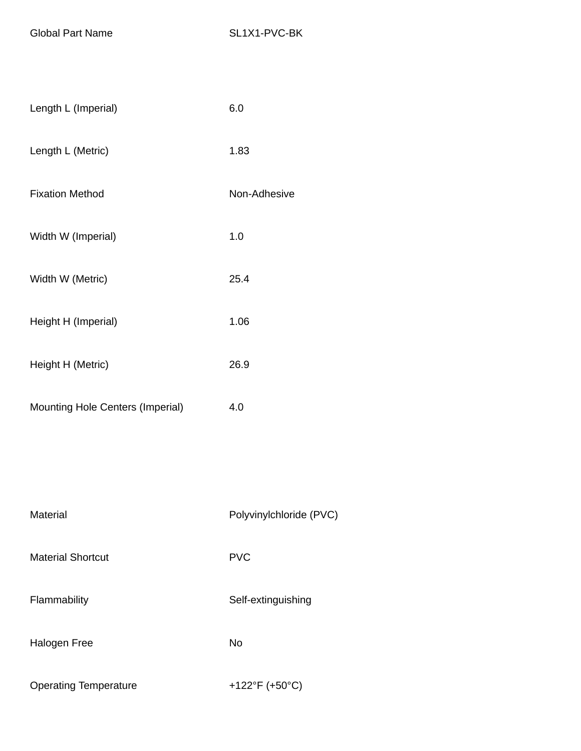Global Part Name SL1X1-PVC-BK

| Length L (Imperial)                     | 6.0          |  |
|-----------------------------------------|--------------|--|
| Length L (Metric)                       | 1.83         |  |
| <b>Fixation Method</b>                  | Non-Adhesive |  |
| Width W (Imperial)                      | 1.0          |  |
| Width W (Metric)                        | 25.4         |  |
| Height H (Imperial)                     | 1.06         |  |
| Height H (Metric)                       | 26.9         |  |
| <b>Mounting Hole Centers (Imperial)</b> | 4.0          |  |
|                                         |              |  |
|                                         |              |  |

| Material                     | Polyvinylchloride (PVC) |  |  |
|------------------------------|-------------------------|--|--|
| <b>Material Shortcut</b>     | <b>PVC</b>              |  |  |
| Flammability                 | Self-extinguishing      |  |  |
| Halogen Free                 | <b>No</b>               |  |  |
| <b>Operating Temperature</b> | +122°F (+50°C)          |  |  |